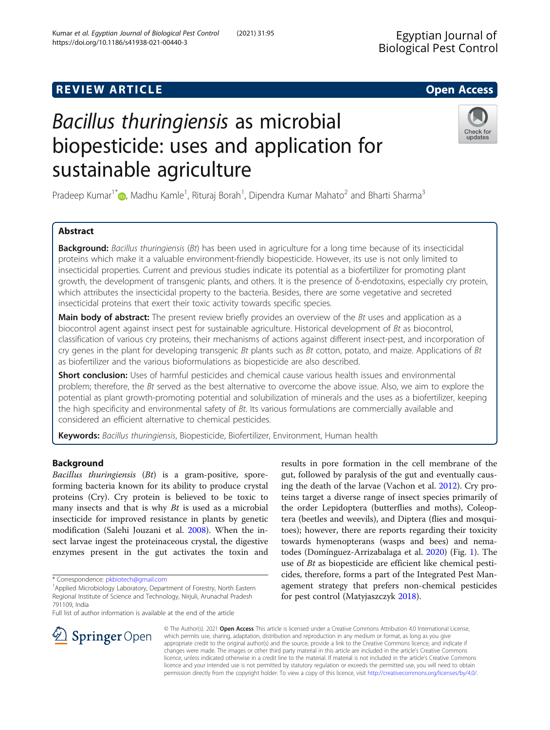# **REVIEW ARTICLE External intervention of the Contract Contract Contract Contract Contract Contract Contract Contract Contract Contract Contract Contract Contract Contract Contract Contract Contract Contract Contract Cont**

# Bacillus thuringiensis as microbial biopesticide: uses and application for sustainable agriculture

Pradeep Kumar<sup>1\*</sup> (@[,](http://orcid.org/0000-0002-0892-5425) Madhu Kamle<sup>1</sup>, Rituraj Borah<sup>1</sup>, Dipendra Kumar Mahato<sup>2</sup> and Bharti Sharma<sup>3</sup>

# Abstract

**Background:** Bacillus thuringiensis (Bt) has been used in agriculture for a long time because of its insecticidal proteins which make it a valuable environment-friendly biopesticide. However, its use is not only limited to insecticidal properties. Current and previous studies indicate its potential as a biofertilizer for promoting plant growth, the development of transgenic plants, and others. It is the presence of δ-endotoxins, especially cry protein, which attributes the insecticidal property to the bacteria. Besides, there are some vegetative and secreted insecticidal proteins that exert their toxic activity towards specific species.

Main body of abstract: The present review briefly provides an overview of the Bt uses and application as a biocontrol agent against insect pest for sustainable agriculture. Historical development of Bt as biocontrol, classification of various cry proteins, their mechanisms of actions against different insect-pest, and incorporation of cry genes in the plant for developing transgenic Bt plants such as Bt cotton, potato, and maize. Applications of Bt as biofertilizer and the various bioformulations as biopesticide are also described.

Short conclusion: Uses of harmful pesticides and chemical cause various health issues and environmental problem; therefore, the Bt served as the best alternative to overcome the above issue. Also, we aim to explore the potential as plant growth-promoting potential and solubilization of minerals and the uses as a biofertilizer, keeping the high specificity and environmental safety of  $Bt$ . Its various formulations are commercially available and considered an efficient alternative to chemical pesticides.

Keywords: Bacillus thuringiensis, Biopesticide, Biofertilizer, Environment, Human health

# Background

Bacillus thuringiensis (Bt) is a gram-positive, sporeforming bacteria known for its ability to produce crystal proteins (Cry). Cry protein is believed to be toxic to many insects and that is why  $Bt$  is used as a microbial insecticide for improved resistance in plants by genetic modification (Salehi Jouzani et al. [2008](#page-6-0)). When the insect larvae ingest the proteinaceous crystal, the digestive enzymes present in the gut activates the toxin and

\* Correspondence: [pkbiotech@gmail.com](mailto:pkbiotech@gmail.com) <sup>1</sup>

 $\mathcal{L}$  Springer Open

Full list of author information is available at the end of the article

© The Author(s). 2021 Open Access This article is licensed under a Creative Commons Attribution 4.0 International License, which permits use, sharing, adaptation, distribution and reproduction in any medium or format, as long as you give appropriate credit to the original author(s) and the source, provide a link to the Creative Commons licence, and indicate if changes were made. The images or other third party material in this article are included in the article's Creative Commons licence, unless indicated otherwise in a credit line to the material. If material is not included in the article's Creative Commons licence and your intended use is not permitted by statutory regulation or exceeds the permitted use, you will need to obtain permission directly from the copyright holder. To view a copy of this licence, visit <http://creativecommons.org/licenses/by/4.0/>.

ing the death of the larvae (Vachon et al. [2012](#page-6-0)). Cry proteins target a diverse range of insect species primarily of the order Lepidoptera (butterflies and moths), Coleoptera (beetles and weevils), and Diptera (flies and mosquitoes); however, there are reports regarding their toxicity towards hymenopterans (wasps and bees) and nematodes (Domínguez-Arrizabalaga et al. [2020](#page-5-0)) (Fig. [1\)](#page-1-0). The use of Bt as biopesticide are efficient like chemical pesticides, therefore, forms a part of the Integrated Pest Management strategy that prefers non-chemical pesticides for pest control (Matyjaszczyk [2018\)](#page-5-0).

results in pore formation in the cell membrane of the gut, followed by paralysis of the gut and eventually caus-



updates

<sup>&</sup>lt;sup>1</sup> Applied Microbiology Laboratory, Department of Forestry, North Eastern Regional Institute of Science and Technology, Nirjuli, Arunachal Pradesh 791109, India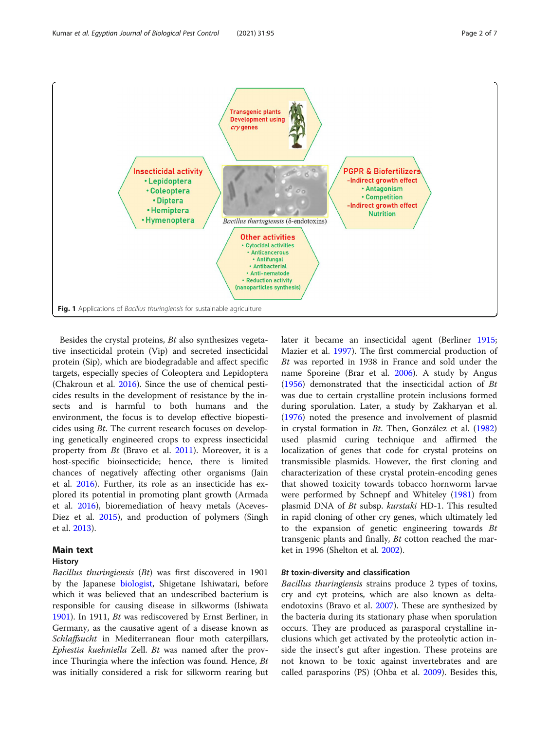<span id="page-1-0"></span>

Besides the crystal proteins, Bt also synthesizes vegetative insecticidal protein (Vip) and secreted insecticidal protein (Sip), which are biodegradable and affect specific targets, especially species of Coleoptera and Lepidoptera (Chakroun et al. [2016](#page-5-0)). Since the use of chemical pesticides results in the development of resistance by the insects and is harmful to both humans and the environment, the focus is to develop effective biopesticides using Bt. The current research focuses on developing genetically engineered crops to express insecticidal property from Bt (Bravo et al. [2011](#page-5-0)). Moreover, it is a host-specific bioinsecticide; hence, there is limited chances of negatively affecting other organisms (Jain et al. [2016](#page-5-0)). Further, its role as an insecticide has explored its potential in promoting plant growth (Armada et al. [2016\)](#page-5-0), bioremediation of heavy metals (Aceves-Diez et al. [2015](#page-5-0)), and production of polymers (Singh et al. [2013\)](#page-6-0).

# Main text

## **History**

Bacillus thuringiensis (Bt) was first discovered in 1901 by the Japanese [biologist](http://en.wikipedia.org/wiki/Biologist%20/%20Biologist), Shigetane Ishiwatari, before which it was believed that an undescribed bacterium is responsible for causing disease in silkworms (Ishiwata [1901](#page-5-0)). In 1911, Bt was rediscovered by Ernst Berliner, in Germany, as the causative agent of a disease known as Schlaffsucht in Mediterranean flour moth caterpillars, Ephestia kuehniella Zell. Bt was named after the province Thuringia where the infection was found. Hence, Bt was initially considered a risk for silkworm rearing but later it became an insecticidal agent (Berliner [1915](#page-5-0); Mazier et al. [1997\)](#page-5-0). The first commercial production of Bt was reported in 1938 in France and sold under the name Sporeine (Brar et al. [2006](#page-5-0)). A study by Angus ([1956\)](#page-5-0) demonstrated that the insecticidal action of  $Bt$ was due to certain crystalline protein inclusions formed during sporulation. Later, a study by Zakharyan et al. ([1976\)](#page-6-0) noted the presence and involvement of plasmid in crystal formation in Bt. Then, González et al. ([1982](#page-5-0)) used plasmid curing technique and affirmed the localization of genes that code for crystal proteins on transmissible plasmids. However, the first cloning and characterization of these crystal protein-encoding genes that showed toxicity towards tobacco hornworm larvae were performed by Schnepf and Whiteley [\(1981\)](#page-6-0) from plasmid DNA of Bt subsp. kurstaki HD-1. This resulted in rapid cloning of other cry genes, which ultimately led to the expansion of genetic engineering towards  $Bt$ transgenic plants and finally, Bt cotton reached the market in 1996 (Shelton et al. [2002\)](#page-6-0).

# Bt toxin-diversity and classification

Bacillus thuringiensis strains produce 2 types of toxins, cry and cyt proteins, which are also known as deltaendotoxins (Bravo et al. [2007](#page-5-0)). These are synthesized by the bacteria during its stationary phase when sporulation occurs. They are produced as parasporal crystalline inclusions which get activated by the proteolytic action inside the insect's gut after ingestion. These proteins are not known to be toxic against invertebrates and are called parasporins (PS) (Ohba et al. [2009](#page-5-0)). Besides this,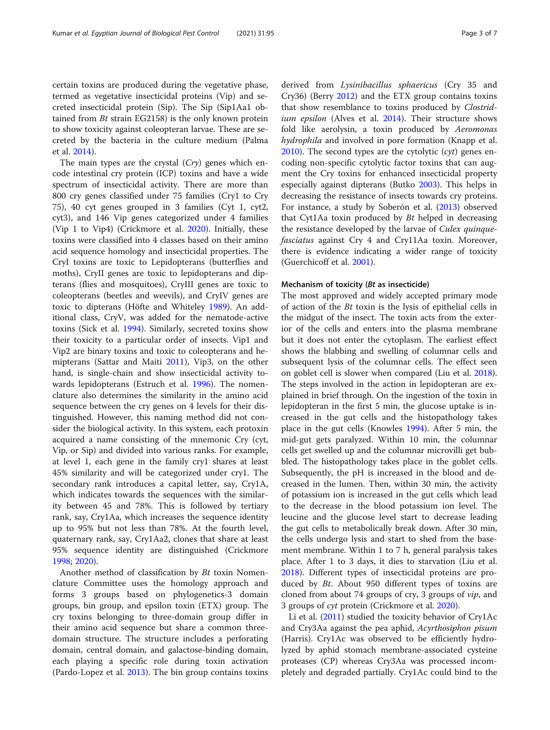certain toxins are produced during the vegetative phase, termed as vegetative insecticidal proteins (Vip) and secreted insecticidal protein (Sip). The Sip (Sip1Aa1 obtained from  $Bt$  strain EG2158) is the only known protein to show toxicity against coleopteran larvae. These are secreted by the bacteria in the culture medium (Palma et al. [2014\)](#page-5-0).

The main types are the crystal  $(Cry)$  genes which encode intestinal cry protein (ICP) toxins and have a wide spectrum of insecticidal activity. There are more than 800 cry genes classified under 75 families (Cry1 to Cry 75), 40 cyt genes grouped in 3 families (Cyt 1, cyt2, cyt3), and 146 Vip genes categorized under 4 families (Vip 1 to Vip4) (Crickmore et al. [2020\)](#page-5-0). Initially, these toxins were classified into 4 classes based on their amino acid sequence homology and insecticidal properties. The CryI toxins are toxic to Lepidopterans (butterflies and moths), CryII genes are toxic to lepidopterans and dipterans (flies and mosquitoes), CryIII genes are toxic to coleopterans (beetles and weevils), and CryIV genes are toxic to dipterans (Höfte and Whiteley [1989\)](#page-5-0). An additional class, CryV, was added for the nematode-active toxins (Sick et al. [1994\)](#page-6-0). Similarly, secreted toxins show their toxicity to a particular order of insects. Vip1 and Vip2 are binary toxins and toxic to coleopterans and hemipterans (Sattar and Maiti [2011\)](#page-6-0), Vip3, on the other hand, is single-chain and show insecticidal activity towards lepidopterans (Estruch et al. [1996](#page-5-0)). The nomenclature also determines the similarity in the amino acid sequence between the cry genes on 4 levels for their distinguished. However, this naming method did not consider the biological activity. In this system, each protoxin acquired a name consisting of the mnemonic Cry (cyt, Vip, or Sip) and divided into various ranks. For example, at level 1, each gene in the family cry1 shares at least 45% similarity and will be categorized under cry1. The secondary rank introduces a capital letter, say, Cry1A, which indicates towards the sequences with the similarity between 45 and 78%. This is followed by tertiary rank, say, Cry1Aa, which increases the sequence identity up to 95% but not less than 78%. At the fourth level, quaternary rank, say, Cry1Aa2, clones that share at least 95% sequence identity are distinguished (Crickmore [1998](#page-5-0); [2020](#page-5-0)).

Another method of classification by Bt toxin Nomenclature Committee uses the homology approach and forms 3 groups based on phylogenetics-3 domain groups, bin group, and epsilon toxin (ETX) group. The cry toxins belonging to three-domain group differ in their amino acid sequence but share a common threedomain structure. The structure includes a perforating domain, central domain, and galactose-binding domain, each playing a specific role during toxin activation (Pardo-Lopez et al. [2013](#page-6-0)). The bin group contains toxins

derived from Lysinibacillus sphaericus (Cry 35 and Cry36) (Berry [2012](#page-5-0)) and the ETX group contains toxins that show resemblance to toxins produced by Clostrid-ium epsilon (Alves et al. [2014\)](#page-5-0). Their structure shows fold like aerolysin, a toxin produced by Aeromonas hydrophila and involved in pore formation (Knapp et al. [2010](#page-5-0)). The second types are the cytolytic  $(cyt)$  genes encoding non-specific cytolytic factor toxins that can augment the Cry toxins for enhanced insecticidal property especially against dipterans (Butko [2003](#page-5-0)). This helps in decreasing the resistance of insects towards cry proteins. For instance, a study by Soberón et al. ([2013](#page-6-0)) observed that Cyt1Aa toxin produced by  $Bt$  helped in decreasing the resistance developed by the larvae of Culex quinquefasciatus against Cry 4 and Cry11Aa toxin. Moreover, there is evidence indicating a wider range of toxicity (Guerchicoff et al. [2001](#page-5-0)).

# Mechanism of toxicity (Bt as insecticide)

The most approved and widely accepted primary mode of action of the Bt toxin is the lysis of epithelial cells in the midgut of the insect. The toxin acts from the exterior of the cells and enters into the plasma membrane but it does not enter the cytoplasm. The earliest effect shows the blabbing and swelling of columnar cells and subsequent lysis of the columnar cells. The effect seen on goblet cell is slower when compared (Liu et al. [2018](#page-5-0)). The steps involved in the action in lepidopteran are explained in brief through. On the ingestion of the toxin in lepidopteran in the first 5 min, the glucose uptake is increased in the gut cells and the histopathology takes place in the gut cells (Knowles [1994\)](#page-5-0). After 5 min, the mid-gut gets paralyzed. Within 10 min, the columnar cells get swelled up and the columnar microvilli get bubbled. The histopathology takes place in the goblet cells. Subsequently, the pH is increased in the blood and decreased in the lumen. Then, within 30 min, the activity of potassium ion is increased in the gut cells which lead to the decrease in the blood potassium ion level. The leucine and the glucose level start to decrease leading the gut cells to metabolically break down. After 30 min, the cells undergo lysis and start to shed from the basement membrane. Within 1 to 7 h, general paralysis takes place. After 1 to 3 days, it dies to starvation (Liu et al. [2018](#page-5-0)). Different types of insecticidal proteins are produced by Bt. About 950 different types of toxins are cloned from about 74 groups of cry, 3 groups of vip, and 3 groups of cyt protein (Crickmore et al. [2020\)](#page-5-0).

Li et al. [\(2011\)](#page-5-0) studied the toxicity behavior of Cry1Ac and Cry3Aa against the pea aphid, Acyrthosiphon pisum (Harris). Cry1Ac was observed to be efficiently hydrolyzed by aphid stomach membrane-associated cysteine proteases (CP) whereas Cry3Aa was processed incompletely and degraded partially. Cry1Ac could bind to the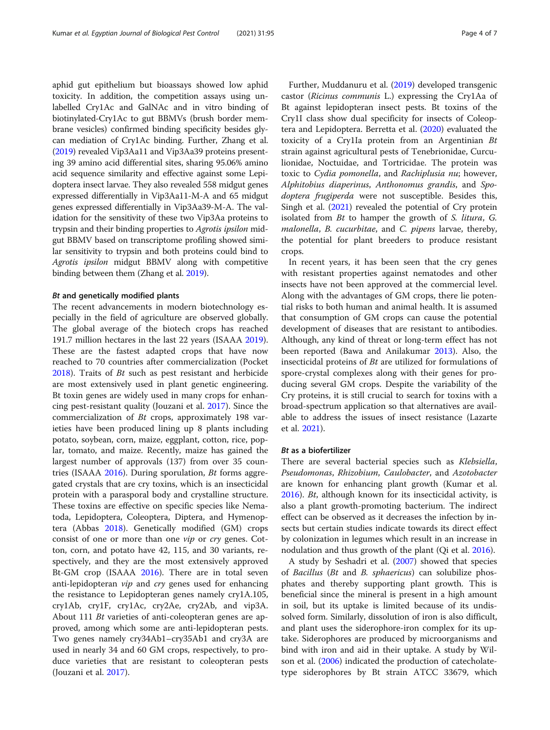aphid gut epithelium but bioassays showed low aphid toxicity. In addition, the competition assays using unlabelled Cry1Ac and GalNAc and in vitro binding of biotinylated-Cry1Ac to gut BBMVs (brush border membrane vesicles) confirmed binding specificity besides glycan mediation of Cry1Ac binding. Further, Zhang et al. ([2019](#page-6-0)) revealed Vip3Aa11 and Vip3Aa39 proteins presenting 39 amino acid differential sites, sharing 95.06% amino acid sequence similarity and effective against some Lepidoptera insect larvae. They also revealed 558 midgut genes expressed differentially in Vip3Aa11-M-A and 65 midgut genes expressed differentially in Vip3Aa39-M-A. The validation for the sensitivity of these two Vip3Aa proteins to trypsin and their binding properties to Agrotis ipsilon midgut BBMV based on transcriptome profiling showed similar sensitivity to trypsin and both proteins could bind to Agrotis ipsilon midgut BBMV along with competitive binding between them (Zhang et al. [2019\)](#page-6-0).

# Bt and genetically modified plants

The recent advancements in modern biotechnology especially in the field of agriculture are observed globally. The global average of the biotech crops has reached 191.7 million hectares in the last 22 years (ISAAA [2019](#page-5-0)). These are the fastest adapted crops that have now reached to 70 countries after commercialization (Pocket [2018](#page-6-0)). Traits of Bt such as pest resistant and herbicide are most extensively used in plant genetic engineering. Bt toxin genes are widely used in many crops for enhancing pest-resistant quality (Jouzani et al. [2017](#page-5-0)). Since the commercialization of Bt crops, approximately 198 varieties have been produced lining up 8 plants including potato, soybean, corn, maize, eggplant, cotton, rice, poplar, tomato, and maize. Recently, maize has gained the largest number of approvals (137) from over 35 countries (ISAAA [2016\)](#page-5-0). During sporulation, Bt forms aggregated crystals that are cry toxins, which is an insecticidal protein with a parasporal body and crystalline structure. These toxins are effective on specific species like Nematoda, Lepidoptera, Coleoptera, Diptera, and Hymenoptera (Abbas [2018](#page-5-0)). Genetically modified (GM) crops consist of one or more than one vip or cry genes. Cotton, corn, and potato have 42, 115, and 30 variants, respectively, and they are the most extensively approved Bt-GM crop (ISAAA [2016](#page-5-0)). There are in total seven anti-lepidopteran *vip* and *cry* genes used for enhancing the resistance to Lepidopteran genes namely cry1A.105, cry1Ab, cry1F, cry1Ac, cry2Ae, cry2Ab, and vip3A. About 111 Bt varieties of anti-coleopteran genes are approved, among which some are anti-lepidopteran pests. Two genes namely cry34Ab1–cry35Ab1 and cry3A are used in nearly 34 and 60 GM crops, respectively, to produce varieties that are resistant to coleopteran pests (Jouzani et al. [2017](#page-5-0)).

Further, Muddanuru et al. ([2019](#page-5-0)) developed transgenic castor (Ricinus communis L.) expressing the Cry1Aa of Bt against lepidopteran insect pests. Bt toxins of the Cry1I class show dual specificity for insects of Coleoptera and Lepidoptera. Berretta et al. [\(2020\)](#page-5-0) evaluated the toxicity of a Cry1Ia protein from an Argentinian Bt strain against agricultural pests of Tenebrionidae, Curculionidae, Noctuidae, and Tortricidae. The protein was toxic to Cydia pomonella, and Rachiplusia nu; however, Alphitobius diaperinus, Anthonomus grandis, and Spodoptera frugiperda were not susceptible. Besides this, Singh et al. ([2021](#page-6-0)) revealed the potential of Cry protein isolated from Bt to hamper the growth of S. litura, G. malonella, B. cucurbitae, and C. pipens larvae, thereby, the potential for plant breeders to produce resistant crops.

In recent years, it has been seen that the cry genes with resistant properties against nematodes and other insects have not been approved at the commercial level. Along with the advantages of GM crops, there lie potential risks to both human and animal health. It is assumed that consumption of GM crops can cause the potential development of diseases that are resistant to antibodies. Although, any kind of threat or long-term effect has not been reported (Bawa and Anilakumar [2013](#page-5-0)). Also, the insecticidal proteins of Bt are utilized for formulations of spore-crystal complexes along with their genes for producing several GM crops. Despite the variability of the Cry proteins, it is still crucial to search for toxins with a broad-spectrum application so that alternatives are available to address the issues of insect resistance (Lazarte et al. [2021\)](#page-5-0).

## Bt as a biofertilizer

There are several bacterial species such as Klebsiella, Pseudomonas, Rhizobium, Caulobacter, and Azotobacter are known for enhancing plant growth (Kumar et al. [2016](#page-5-0)). Bt, although known for its insecticidal activity, is also a plant growth-promoting bacterium. The indirect effect can be observed as it decreases the infection by insects but certain studies indicate towards its direct effect by colonization in legumes which result in an increase in nodulation and thus growth of the plant (Qi et al. [2016](#page-6-0)).

A study by Seshadri et al. ([2007](#page-6-0)) showed that species of Bacillus (Bt and B. sphaericus) can solubilize phosphates and thereby supporting plant growth. This is beneficial since the mineral is present in a high amount in soil, but its uptake is limited because of its undissolved form. Similarly, dissolution of iron is also difficult, and plant uses the siderophore-iron complex for its uptake. Siderophores are produced by microorganisms and bind with iron and aid in their uptake. A study by Wilson et al. ([2006\)](#page-6-0) indicated the production of catecholatetype siderophores by Bt strain ATCC 33679, which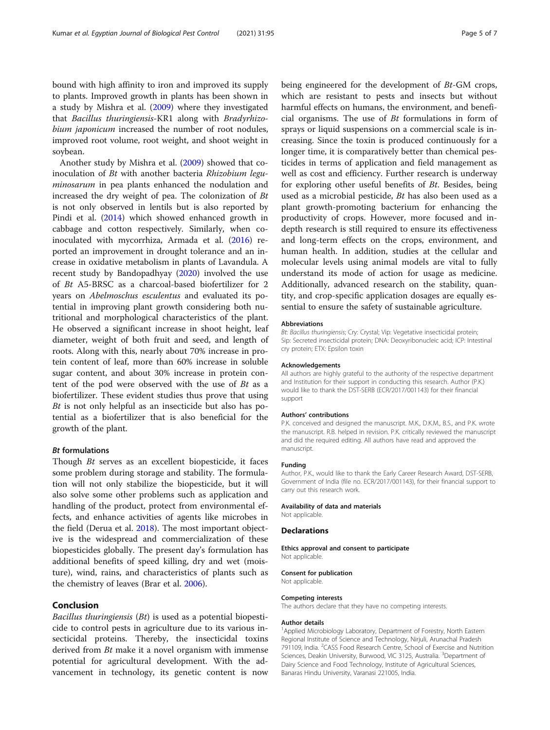bound with high affinity to iron and improved its supply to plants. Improved growth in plants has been shown in a study by Mishra et al. [\(2009](#page-5-0)) where they investigated that Bacillus thuringiensis-KR1 along with Bradyrhizobium japonicum increased the number of root nodules, improved root volume, root weight, and shoot weight in soybean.

Another study by Mishra et al. [\(2009\)](#page-5-0) showed that coinoculation of Bt with another bacteria Rhizobium leguminosarum in pea plants enhanced the nodulation and increased the dry weight of pea. The colonization of Bt is not only observed in lentils but is also reported by Pindi et al. [\(2014](#page-6-0)) which showed enhanced growth in cabbage and cotton respectively. Similarly, when coinoculated with mycorrhiza, Armada et al. ([2016](#page-5-0)) reported an improvement in drought tolerance and an increase in oxidative metabolism in plants of Lavandula. A recent study by Bandopadhyay ([2020](#page-5-0)) involved the use of Bt A5-BRSC as a charcoal-based biofertilizer for 2 years on Abelmoschus esculentus and evaluated its potential in improving plant growth considering both nutritional and morphological characteristics of the plant. He observed a significant increase in shoot height, leaf diameter, weight of both fruit and seed, and length of roots. Along with this, nearly about 70% increase in protein content of leaf, more than 60% increase in soluble sugar content, and about 30% increase in protein content of the pod were observed with the use of Bt as a biofertilizer. These evident studies thus prove that using Bt is not only helpful as an insecticide but also has potential as a biofertilizer that is also beneficial for the growth of the plant.

# Bt formulations

Though Bt serves as an excellent biopesticide, it faces some problem during storage and stability. The formulation will not only stabilize the biopesticide, but it will also solve some other problems such as application and handling of the product, protect from environmental effects, and enhance activities of agents like microbes in the field (Derua et al. [2018](#page-5-0)). The most important objective is the widespread and commercialization of these biopesticides globally. The present day's formulation has additional benefits of speed killing, dry and wet (moisture), wind, rains, and characteristics of plants such as the chemistry of leaves (Brar et al. [2006](#page-5-0)).

# Conclusion

Bacillus thuringiensis  $(Bt)$  is used as a potential biopesticide to control pests in agriculture due to its various insecticidal proteins. Thereby, the insecticidal toxins derived from Bt make it a novel organism with immense potential for agricultural development. With the advancement in technology, its genetic content is now

being engineered for the development of Bt-GM crops, which are resistant to pests and insects but without harmful effects on humans, the environment, and beneficial organisms. The use of  $Bt$  formulations in form of sprays or liquid suspensions on a commercial scale is increasing. Since the toxin is produced continuously for a longer time, it is comparatively better than chemical pesticides in terms of application and field management as well as cost and efficiency. Further research is underway for exploring other useful benefits of Bt. Besides, being used as a microbial pesticide, Bt has also been used as a plant growth-promoting bacterium for enhancing the productivity of crops. However, more focused and indepth research is still required to ensure its effectiveness and long-term effects on the crops, environment, and human health. In addition, studies at the cellular and molecular levels using animal models are vital to fully understand its mode of action for usage as medicine. Additionally, advanced research on the stability, quantity, and crop-specific application dosages are equally essential to ensure the safety of sustainable agriculture.

#### Abbreviations

Bt: Bacillus thuringiensis; Cry: Crystal; Vip: Vegetative insecticidal protein; Sip: Secreted insecticidal protein; DNA: Deoxyribonucleic acid; ICP: Intestinal cry protein; ETX: Epsilon toxin

#### Acknowledgements

All authors are highly grateful to the authority of the respective department and Institution for their support in conducting this research. Author (P.K.) would like to thank the DST-SERB (ECR/2017/001143) for their financial support

#### Authors' contributions

P.K. conceived and designed the manuscript. M.K., D.K.M., B.S., and P.K. wrote the manuscript. R.B. helped in revision. P.K. critically reviewed the manuscript and did the required editing. All authors have read and approved the manuscript.

#### Funding

Author, P.K., would like to thank the Early Career Research Award, DST-SERB, Government of India (file no. ECR/2017/001143), for their financial support to carry out this research work.

## Availability of data and materials

Not applicable.

#### **Declarations**

Ethics approval and consent to participate Not applicable.

#### Consent for publication

Not applicable.

#### Competing interests

The authors declare that they have no competing interests.

#### Author details

<sup>1</sup> Applied Microbiology Laboratory, Department of Forestry, North Eastern Regional Institute of Science and Technology, Nirjuli, Arunachal Pradesh 791109, India. <sup>2</sup>CASS Food Research Centre, School of Exercise and Nutrition Sciences, Deakin University, Burwood, VIC 3125, Australia. <sup>3</sup>Department of Dairy Science and Food Technology, Institute of Agricultural Sciences, Banaras Hindu University, Varanasi 221005, India.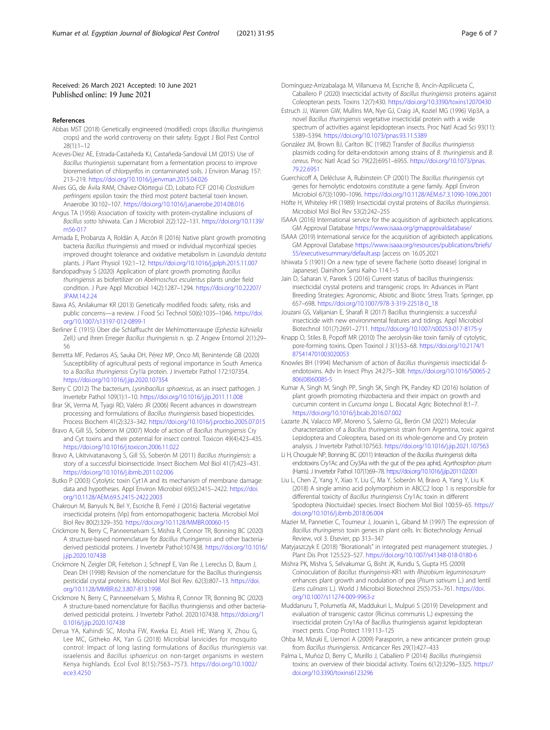## <span id="page-5-0"></span>Received: 26 March 2021 Accepted: 10 June 2021 Published online: 19 June 2021

#### References

- Abbas MST (2018) Genetically engineered (modified) crops (Bacillus thuringiensis crops) and the world controversy on their safety. Egypt J Biol Pest Control 28(1):1–12
- Aceves-Diez AE, Estrada-Castañeda KJ, Castañeda-Sandoval LM (2015) Use of Bacillus thuringiensis supernatant from a fermentation process to improve bioremediation of chlorpyrifos in contaminated soils. J Environ Manag 157: 213–219. <https://doi.org/10.1016/j.jenvman.2015.04.026>
- Alves GG, de Ávila RAM, Chávez-Olórtegui CD, Lobato FCF (2014) Clostridium perfringens epsilon toxin: the third most potent bacterial toxin known. Anaerobe 30:102–107. <https://doi.org/10.1016/j.anaerobe.2014.08.016>
- Angus TA (1956) Association of toxicity with protein-crystalline inclusions of Bacillus sotto Ishiwata. Can J Microbiol 2(2):122–131. [https://doi.org/10.1139/](https://doi.org/10.1139/m56-017) [m56-017](https://doi.org/10.1139/m56-017)
- Armada E, Probanza A, Roldán A, Azcón R (2016) Native plant growth promoting bacteria Bacillus thuringiensis and mixed or individual mycorrhizal species improved drought tolerance and oxidative metabolism in Lavandula dentata plants. J Plant Physiol 192:1–12. <https://doi.org/10.1016/j.jplph.2015.11.007>
- Bandopadhyay S (2020) Application of plant growth promoting Bacillus thuringiensis as biofertilizer on Abelmoschus esculentus plants under field condition. J Pure Appl Microbiol 14(2):1287–1294. [https://doi.org/10.22207/](https://doi.org/10.22207/JPAM.14.2.24) [JPAM.14.2.24](https://doi.org/10.22207/JPAM.14.2.24)
- Bawa AS, Anilakumar KR (2013) Genetically modified foods: safety, risks and public concerns—a review. J Food Sci Technol 50(6):1035–1046. [https://doi.](https://doi.org/10.1007/s13197-012-0899-1) [org/10.1007/s13197-012-0899-1](https://doi.org/10.1007/s13197-012-0899-1)
- Berliner E (1915) Über die Schlaffsucht der Mehlmottenraupe (Ephestia kühniella Zell.) und ihren Erreger Bacillus thuringiensis n. sp. Z Angew Entomol 2(1):29– 56
- Berretta MF, Pedarros AS, Sauka DH, Pérez MP, Onco MI, Benintende GB (2020) Susceptibility of agricultural pests of regional importance in South America to a Bacillus thuringiensis Cry1Ia protein. J Invertebr Pathol 172:107354. <https://doi.org/10.1016/j.jip.2020.107354>
- Berry C (2012) The bacterium, Lysinibacillus sphaericus, as an insect pathogen. J Invertebr Pathol 109(1):1–10. <https://doi.org/10.1016/j.jip.2011.11.008>
- Brar SK, Verma M, Tyagi RD, Valéro JR (2006) Recent advances in downstream processing and formulations of Bacillus thuringiensis based biopesticides. Process Biochem 41(2):323–342. <https://doi.org/10.1016/j.procbio.2005.07.015>
- Bravo A, Gill SS, Soberon M (2007) Mode of action of Bacillus thuringiensis Cry and Cyt toxins and their potential for insect control. Toxicon 49(4):423–435. <https://doi.org/10.1016/j.toxicon.2006.11.022>
- Bravo A, Likitvivatanavong S, Gill SS, Soberón M (2011) Bacillus thuringiensis: a story of a successful bioinsecticide. Insect Biochem Mol Biol 41(7):423–431. <https://doi.org/10.1016/j.ibmb.2011.02.006>
- Butko P (2003) Cytolytic toxin Cyt1A and its mechanism of membrane damage: data and hypotheses. Appl Environ Microbiol 69(5):2415–2422. [https://doi.](https://doi.org/10.1128/AEM.69.5.2415-2422.2003) [org/10.1128/AEM.69.5.2415-2422.2003](https://doi.org/10.1128/AEM.69.5.2415-2422.2003)
- Chakroun M, Banyuls N, Bel Y, Escriche B, Ferré J (2016) Bacterial vegetative insecticidal proteins (Vip) from entomopathogenic bacteria. Microbiol Mol Biol Rev 80(2):329–350. <https://doi.org/10.1128/MMBR.00060-15>
- Crickmore N, Berry C, Panneerselvam S, Mishra R, Connor TR, Bonning BC (2020) A structure-based nomenclature for Bacillus thuringiensis and other bacteriaderived pesticidal proteins. J Invertebr Pathol:107438. [https://doi.org/10.1016/](https://doi.org/10.1016/j.jip.2020.107438) [j.jip.2020.107438](https://doi.org/10.1016/j.jip.2020.107438)
- Crickmore N, Zeigler DR, Feitelson J, Schnepf E, Van Rie J, Lereclus D, Baum J, Dean DH (1998) Revision of the nomenclature for the Bacillus thuringiensis pesticidal crystal proteins. Microbiol Mol Biol Rev. 62(3):807–13. [https://doi.](https://doi.org/10.1128/MMBR.62.3.807-813.1998) [org/10.1128/MMBR.62.3.807-813.1998](https://doi.org/10.1128/MMBR.62.3.807-813.1998)
- Crickmore N, Berry C, Panneerselvam S, Mishra R, Connor TR, Bonning BC (2020) A structure-based nomenclature for Bacillus thuringiensis and other bacteriaderived pesticidal proteins. J Invertebr Pathol. 2020:107438. [https://doi.org/1](https://doi.org/10.1016/j.jip.2020.107438) [0.1016/j.jip.2020.107438](https://doi.org/10.1016/j.jip.2020.107438)
- Derua YA, Kahindi SC, Mosha FW, Kweka EJ, Atieli HE, Wang X, Zhou G, Lee MC, Githeko AK, Yan G (2018) Microbial larvicides for mosquito control: Impact of long lasting formulations of Bacillus thuringiensis var. israelensis and Bacillus sphaericus on non-target organisms in western Kenya highlands. Ecol Evol 8(15):7563–7573. [https://doi.org/10.1002/](https://doi.org/10.1002/ece3.4250) [ece3.4250](https://doi.org/10.1002/ece3.4250)
- Domínguez-Arrizabalaga M, Villanueva M, Escriche B, Ancín-Azpilicueta C, Caballero P (2020) Insecticidal activity of Bacillus thuringiensis proteins against Coleopteran pests. Toxins 12(7):430. <https://doi.org/10.3390/toxins12070430>
- Estruch JJ, Warren GW, Mullins MA, Nye GJ, Craig JA, Koziel MG (1996) Vip3A, a novel Bacillus thuringiensis vegetative insecticidal protein with a wide spectrum of activities against lepidopteran insects. Proc Natl Acad Sci 93(11): 5389–5394. <https://doi.org/10.1073/pnas.93.11.5389>
- González JM, Brown BJ, Carlton BC (1982) Transfer of Bacillus thuringiensis plasmids coding for delta-endotoxin among strains of B. thuringiensis and B. cereus. Proc Natl Acad Sci 79(22):6951–6955. [https://doi.org/10.1073/pnas.](https://doi.org/10.1073/pnas.79.22.6951) [79.22.6951](https://doi.org/10.1073/pnas.79.22.6951)
- Guerchicoff A, Delécluse A, Rubinstein CP (2001) The Bacillus thuringiensis cyt genes for hemolytic endotoxins constitute a gene family. Appl Environ Microbiol 67(3):1090–1096. <https://doi.org/10.1128/AEM.67.3.1090-1096.2001>
- Höfte H, Whiteley HR (1989) Insecticidal crystal proteins of Bacillus thuringiensis. Microbiol Mol Biol Rev 53(2):242–255
- ISAAA (2016) International service for the acquisition of agribiotech applications. GM Approval Database <https://www.isaaa.org/gmapprovaldatabase/>
- ISAAA (2019) International service for the acquisition of agribiotech applications. GM Approval Database [https://www.isaaa.org/resources/publications/briefs/](https://www.isaaa.org/resources/publications/briefs/55/executivesummary/default.asp) [55/executivesummary/default.asp](https://www.isaaa.org/resources/publications/briefs/55/executivesummary/default.asp) [access on 16.05.2021
- Ishiwata S (1901) On a new type of severe flacherie (sotto disease) (original in Japanese). Dainihon Sansi Kaiho 114:1–5
- Jain D, Saharan V, Pareek S (2016) Current status of bacillus thuringiensis: insecticidal crystal proteins and transgenic crops. In: Advances in Plant Breeding Strategies: Agronomic, Abiotic and Biotic Stress Traits. Springer, pp 657–698. [https://doi.org/10.1007/978-3-319-22518-0\\_18](https://doi.org/10.1007/978-3-319-22518-0_18)
- Jouzani GS, Valijanian E, Sharafi R (2017) Bacillus thuringiensis: a successful insecticide with new environmental features and tidings. Appl Microbiol Biotechnol 101(7):2691–2711. <https://doi.org/10.1007/s00253-017-8175-y>
- Knapp O, Stiles B, Popoff MR (2010) The aerolysin-like toxin family of cytolytic, pore-forming toxins. Open Toxinol J 3(1):53–68. [https://doi.org/10.2174/1](https://doi.org/10.2174/1875414701003020053) [875414701003020053](https://doi.org/10.2174/1875414701003020053)
- Knowles BH (1994) Mechanism of action of Bacillus thuringiensis insecticidal δendotoxins. Adv In Insect Phys 24:275–308. [https://doi.org/10.1016/S0065-2](https://doi.org/10.1016/S0065-2806(08)60085-5) [806\(08\)60085-5](https://doi.org/10.1016/S0065-2806(08)60085-5)
- Kumar A, Singh M, Singh PP, Singh SK, Singh PK, Pandey KD (2016) Isolation of plant growth promoting rhizobacteria and their impact on growth and curcumin content in Curcuma longa L. Biocatal Agric Biotechnol 8:1–7. <https://doi.org/10.1016/j.bcab.2016.07.002>
- Lazarte JN, Valacco MP, Moreno S, Salerno GL, Berón CM (2021) Molecular characterization of a Bacillus thuringiensis strain from Argentina, toxic against Lepidoptera and Coleoptera, based on its whole-genome and Cry protein analysis. J Invertebr Pathol:107563. <https://doi.org/10.1016/j.jip.2021.107563>
- Li H, Chougule NP, Bonning BC (2011) Interaction of the Bacillus thuringiensis delta endotoxins Cry1Ac and Cry3Aa with the gut of the pea aphid, Acyrthosiphon pisum (Harris). J Invertebr Pathol 107(1):69–78. <https://doi.org/10.1016/j.jip.2011.02.001>
- Liu L, Chen Z, Yang Y, Xiao Y, Liu C, Ma Y, Soberón M, Bravo A, Yang Y, Liu K (2018) A single amino acid polymorphism in ABCC2 loop 1 is responsible for differential toxicity of Bacillus thuringiensis Cry1Ac toxin in different Spodoptera (Noctuidae) species. Insect Biochem Mol Biol 100:59–65. [https://](https://doi.org/10.1016/j.ibmb.2018.06.004) [doi.org/10.1016/j.ibmb.2018.06.004](https://doi.org/10.1016/j.ibmb.2018.06.004)
- Mazier M, Pannetier C, Tourneur J, Jouanin L, Giband M (1997) The expression of Bacillus thuringiensis toxin genes in plant cells. In: Biotechnology Annual Review, vol 3. Elsevier, pp 313–347
- Matyjaszczyk E (2018) "Biorationals" in integrated pest management strategies. J Plant Dis Prot 125:523–527. <https://doi.org/10.1007/s41348-018-0180-6>
- Mishra PK, Mishra S, Selvakumar G, Bisht JK, Kundu S, Gupta HS (2009) Coinoculation of Bacillus thuringeinsis-KR1 with Rhizobium leguminosarum enhances plant growth and nodulation of pea (Pisum sativum L.) and lentil (Lens culinaris L.). World J Microbiol Biotechnol 25(5):753–761. [https://doi.](https://doi.org/10.1007/s11274-009-9963-z) [org/10.1007/s11274-009-9963-z](https://doi.org/10.1007/s11274-009-9963-z)
- Muddanuru T, Polumetla AK, Maddukuri L, Mulpuri S (2019) Development and evaluation of transgenic castor (Ricinus communis L.) expressing the insecticidal protein Cry1Aa of Bacillus thuringiensis against lepidopteran insect pests. Crop Protect 119:113–125
- Ohba M, Mizuki E, Uemori A (2009) Parasporin, a new anticancer protein group from Bacillus thuringiensis. Anticancer Res 29(1):427–433
- Palma L, Muñoz D, Berry C, Murillo J, Caballero P (2014) Bacillus thuringiensis toxins: an overview of their biocidal activity. Toxins 6(12):3296–3325. [https://](https://doi.org/10.3390/toxins6123296) [doi.org/10.3390/toxins6123296](https://doi.org/10.3390/toxins6123296)